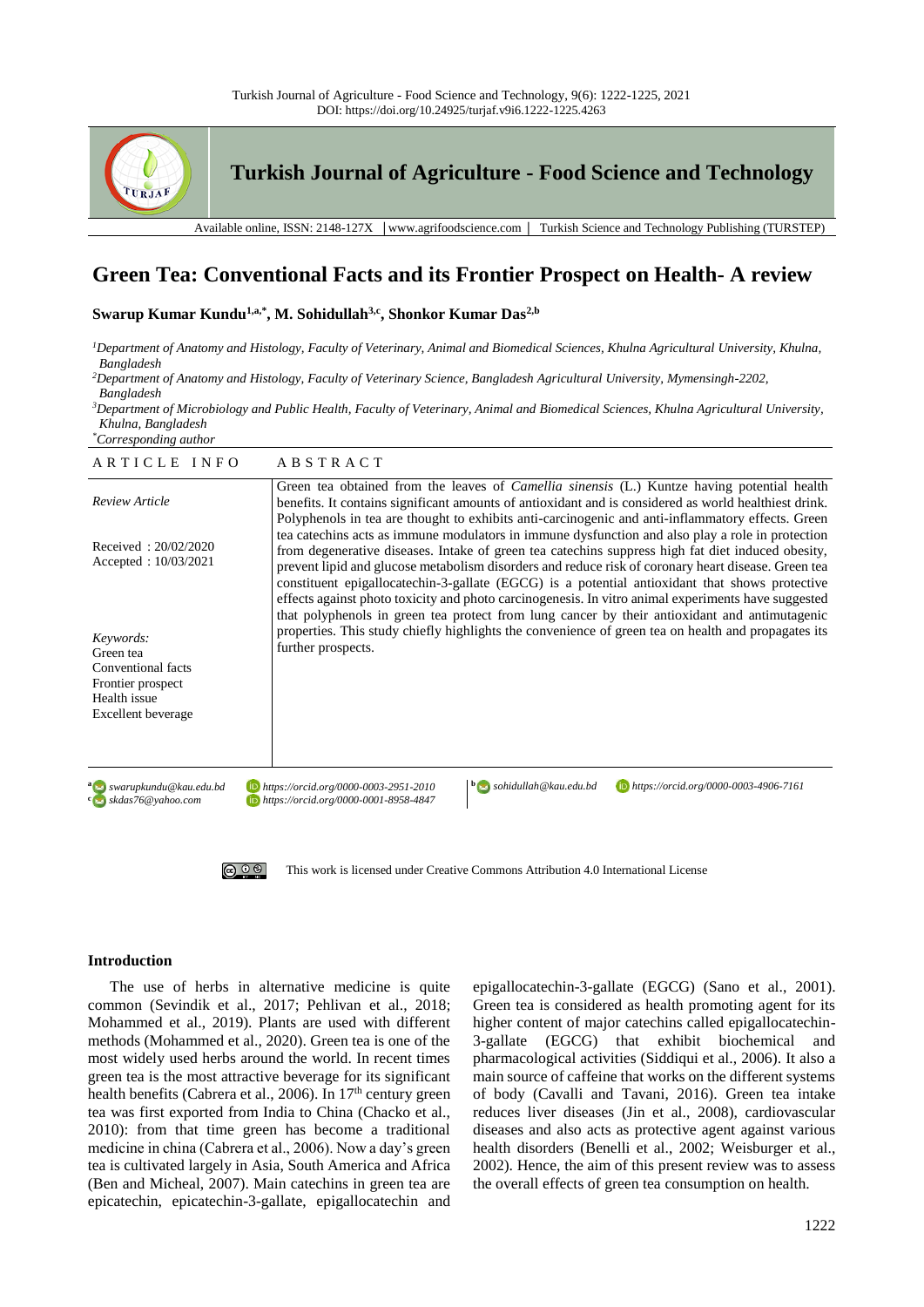



**Turkish Journal of Agriculture - Food Science and Technology**

Available online, ISSN: 2148-127X │www.agrifoodscience.com │ Turkish Science and Technology Publishing (TURSTEP)

# **Green Tea: Conventional Facts and its Frontier Prospect on Health- A review**

**Swarup Kumar Kundu1,a,\* , M. Sohidullah3,c , Shonkor Kumar Das2,b**

*<sup>1</sup>Department of Anatomy and Histology, Faculty of Veterinary, Animal and Biomedical Sciences, Khulna Agricultural University, Khulna, Bangladesh*

*<sup>2</sup>Department of Anatomy and Histology, Faculty of Veterinary Science, Bangladesh Agricultural University, Mymensingh-2202, Bangladesh*

*<sup>3</sup>Department of Microbiology and Public Health, Faculty of Veterinary, Animal and Biomedical Sciences, Khulna Agricultural University, Khulna, Bangladesh*

*\*Corresponding author*

| ARTICLE INFO                                                                                            | ABSTRACT                                                                                                                                                                                                                                                                                                                                                                                                                                                                                                                                                                                                               |
|---------------------------------------------------------------------------------------------------------|------------------------------------------------------------------------------------------------------------------------------------------------------------------------------------------------------------------------------------------------------------------------------------------------------------------------------------------------------------------------------------------------------------------------------------------------------------------------------------------------------------------------------------------------------------------------------------------------------------------------|
| <b>Review Article</b>                                                                                   | Green tea obtained from the leaves of <i>Camellia sinensis</i> (L.) Kuntze having potential health<br>benefits. It contains significant amounts of antioxidant and is considered as world healthiest drink.<br>Polyphenols in tea are thought to exhibits anti-carcinogenic and anti-inflammatory effects. Green                                                                                                                                                                                                                                                                                                       |
| Received: 20/02/2020<br>Accepted: $10/03/2021$                                                          | tea catechins acts as immune modulators in immune dysfunction and also play a role in protection<br>from degenerative diseases. Intake of green tea catechins suppress high fat diet induced obesity,<br>prevent lipid and glucose metabolism disorders and reduce risk of coronary heart disease. Green tea<br>constituent epigallocatechin-3-gallate (EGCG) is a potential antioxidant that shows protective<br>effects against photo toxicity and photo carcinogenesis. In vitro animal experiments have suggested<br>that polyphenols in green tea protect from lung cancer by their antioxidant and antimutagenic |
| Keywords:<br>Green tea<br>Conventional facts<br>Frontier prospect<br>Health issue<br>Excellent beverage | properties. This study chiefly highlights the convenience of green tea on health and propagates its<br>further prospects.                                                                                                                                                                                                                                                                                                                                                                                                                                                                                              |
| a Swarupkundu@kau.edu.bd<br>$\frac{c}{2}$ skdas76@yahoo.com                                             | $\mathbf{b}$ sohidullah@kau.edu.bd<br>https://orcid.org/0000-0003-4906-7161<br>https://orcid.org/0000-0003-2951-2010<br>https://orcid.org/0000-0001-8958-4847                                                                                                                                                                                                                                                                                                                                                                                                                                                          |
| $\circledcirc$                                                                                          | This work is licensed under Creative Commons Attribution 4.0 International License                                                                                                                                                                                                                                                                                                                                                                                                                                                                                                                                     |

# **Introduction**

The use of herbs in alternative medicine is quite common (Sevindik et al., 2017; Pehlivan et al., 2018; Mohammed et al., 2019). Plants are used with different methods (Mohammed et al., 2020). Green tea is one of the most widely used herbs around the world. In recent times green tea is the most attractive beverage for its significant health benefits (Cabrera et al., 2006). In 17<sup>th</sup> century green tea was first exported from India to China (Chacko et al., 2010): from that time green has become a traditional medicine in china (Cabrera et al., 2006). Now a day's green tea is cultivated largely in Asia, South America and Africa (Ben and Micheal, 2007). Main catechins in green tea are epicatechin, epicatechin-3-gallate, epigallocatechin and epigallocatechin-3-gallate (EGCG) (Sano et al., 2001). Green tea is considered as health promoting agent for its higher content of major catechins called epigallocatechin-3-gallate (EGCG) that exhibit biochemical and pharmacological activities (Siddiqui et al., 2006). It also a main source of caffeine that works on the different systems of body (Cavalli and Tavani, 2016). Green tea intake reduces liver diseases (Jin et al., 2008), cardiovascular diseases and also acts as protective agent against various health disorders (Benelli et al., 2002; Weisburger et al., 2002). Hence, the aim of this present review was to assess the overall effects of green tea consumption on health.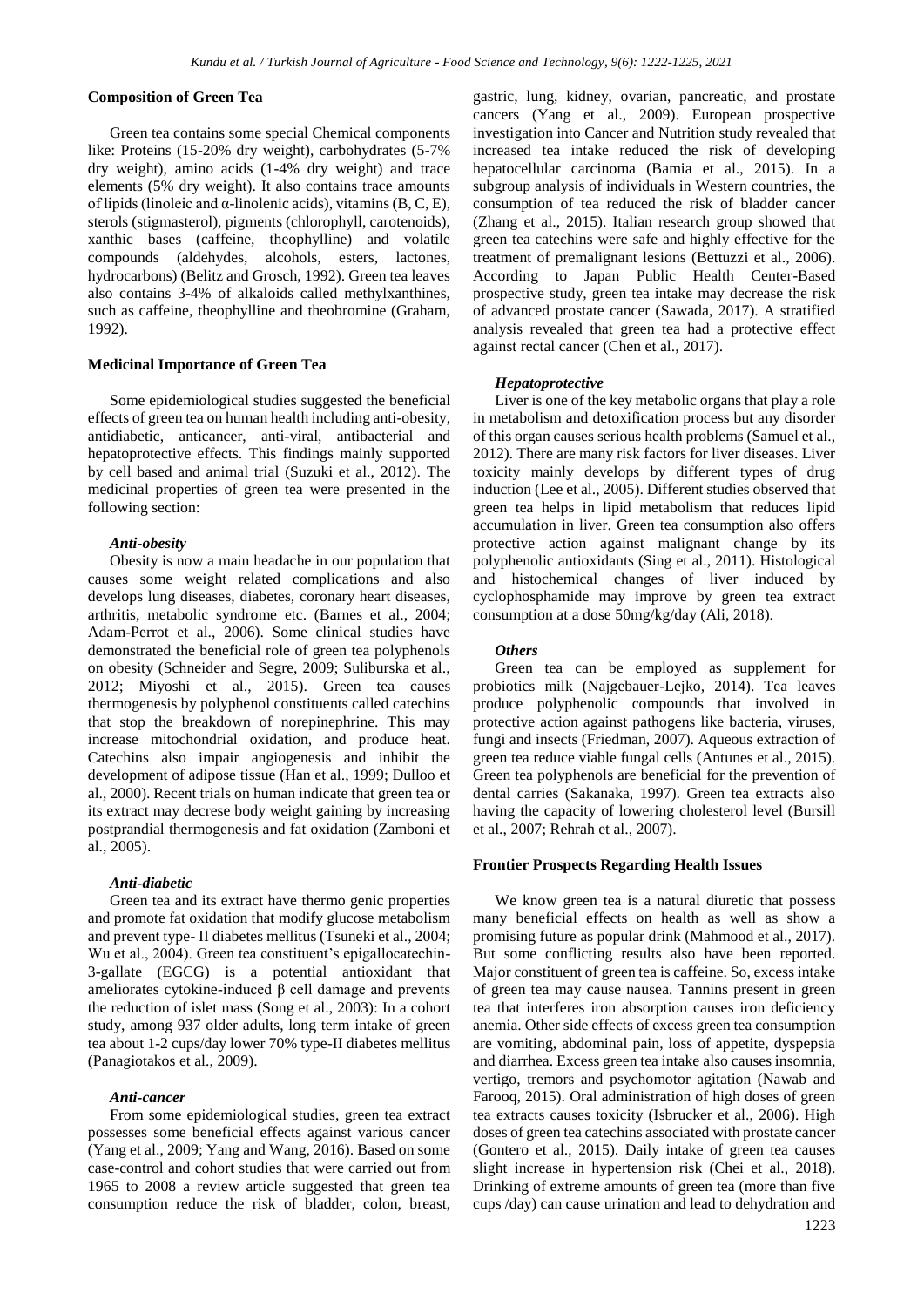## **Composition of Green Tea**

Green tea contains some special Chemical components like: Proteins (15-20% dry weight), carbohydrates (5-7% dry weight), amino acids (1-4% dry weight) and trace elements (5% dry weight). It also contains trace amounts of lipids (linoleic and  $\alpha$ -linolenic acids), vitamins (B, C, E), sterols (stigmasterol), pigments (chlorophyll, carotenoids), xanthic bases (caffeine, theophylline) and volatile compounds (aldehydes, alcohols, esters, lactones, hydrocarbons) (Belitz and Grosch, 1992). Green tea leaves also contains 3-4% of alkaloids called methylxanthines, such as caffeine, theophylline and theobromine (Graham, 1992).

## **Medicinal Importance of Green Tea**

Some epidemiological studies suggested the beneficial effects of green tea on human health including anti-obesity, antidiabetic, anticancer, anti-viral, antibacterial and hepatoprotective effects. This findings mainly supported by cell based and animal trial (Suzuki et al., 2012). The medicinal properties of green tea were presented in the following section:

## *Anti-obesity*

Obesity is now a main headache in our population that causes some weight related complications and also develops lung diseases, diabetes, coronary heart diseases, arthritis, metabolic syndrome etc. (Barnes et al., 2004; Adam-Perrot et al., 2006). Some clinical studies have demonstrated the beneficial role of green tea polyphenols on obesity (Schneider and Segre, 2009; Suliburska et al., 2012; Miyoshi et al., 2015). Green tea causes thermogenesis by polyphenol constituents called catechins that stop the breakdown of norepinephrine. This may increase mitochondrial oxidation, and produce heat. Catechins also impair angiogenesis and inhibit the development of adipose tissue (Han et al., 1999; Dulloo et al., 2000). Recent trials on human indicate that green tea or its extract may decrese body weight gaining by increasing postprandial thermogenesis and fat oxidation (Zamboni et al., 2005).

## *Anti-diabetic*

Green tea and its extract have thermo genic properties and promote fat oxidation that modify glucose metabolism and prevent type- II diabetes mellitus (Tsuneki et al., 2004; Wu et al., 2004). Green tea constituent's epigallocatechin-3-gallate (EGCG) is a potential antioxidant that ameliorates cytokine-induced β cell damage and prevents the reduction of islet mass (Song et al., 2003): In a cohort study, among 937 older adults, long term intake of green tea about 1-2 cups/day lower 70% type-II diabetes mellitus (Panagiotakos et al., 2009).

#### *Anti-cancer*

From some epidemiological studies, green tea extract possesses some beneficial effects against various cancer (Yang et al., 2009; Yang and Wang, 2016). Based on some case-control and cohort studies that were carried out from 1965 to 2008 a review article suggested that green tea consumption reduce the risk of bladder, colon, breast, gastric, lung, kidney, ovarian, pancreatic, and prostate cancers (Yang et al., 2009). European prospective investigation into Cancer and Nutrition study revealed that increased tea intake reduced the risk of developing hepatocellular carcinoma (Bamia et al., 2015). In a subgroup analysis of individuals in Western countries, the consumption of tea reduced the risk of bladder cancer (Zhang et al., 2015). Italian research group showed that green tea catechins were safe and highly effective for the treatment of premalignant lesions (Bettuzzi et al., 2006). According to Japan Public Health Center-Based prospective study, green tea intake may decrease the risk of advanced prostate cancer (Sawada, 2017). A stratified analysis revealed that green tea had a protective effect against rectal cancer (Chen et al., 2017).

# *Hepatoprotective*

Liver is one of the key metabolic organs that play a role in metabolism and detoxification process but any disorder of this organ causes serious health problems (Samuel et al., 2012). There are many risk factors for liver diseases. Liver toxicity mainly develops by different types of drug induction (Lee et al., 2005). Different studies observed that green tea helps in lipid metabolism that reduces lipid accumulation in liver. Green tea consumption also offers protective action against malignant change by its polyphenolic antioxidants (Sing et al., 2011). Histological and histochemical changes of liver induced by cyclophosphamide may improve by green tea extract consumption at a dose 50mg/kg/day (Ali, 2018).

#### *Others*

Green tea can be employed as supplement for probiotics milk (Najgebauer-Lejko, 2014). Tea leaves produce polyphenolic compounds that involved in protective action against pathogens like bacteria, viruses, fungi and insects (Friedman, 2007). Aqueous extraction of green tea reduce viable fungal cells (Antunes et al., 2015). Green tea polyphenols are beneficial for the prevention of dental carries (Sakanaka, 1997). Green tea extracts also having the capacity of lowering cholesterol level (Bursill et al., 2007; Rehrah et al., 2007).

#### **Frontier Prospects Regarding Health Issues**

We know green tea is a natural diuretic that possess many beneficial effects on health as well as show a promising future as popular drink (Mahmood et al., 2017). But some conflicting results also have been reported. Major constituent of green tea is caffeine. So, excess intake of green tea may cause nausea. Tannins present in green tea that interferes iron absorption causes iron deficiency anemia. Other side effects of excess green tea consumption are vomiting, abdominal pain, loss of appetite, dyspepsia and diarrhea. Excess green tea intake also causes insomnia, vertigo, tremors and psychomotor agitation (Nawab and Farooq, 2015). Oral administration of high doses of green tea extracts causes toxicity (Isbrucker et al., 2006). High doses of green tea catechins associated with prostate cancer (Gontero et al., 2015). Daily intake of green tea causes slight increase in hypertension risk (Chei et al., 2018). Drinking of extreme amounts of green tea (more than five cups /day) can cause urination and lead to dehydration and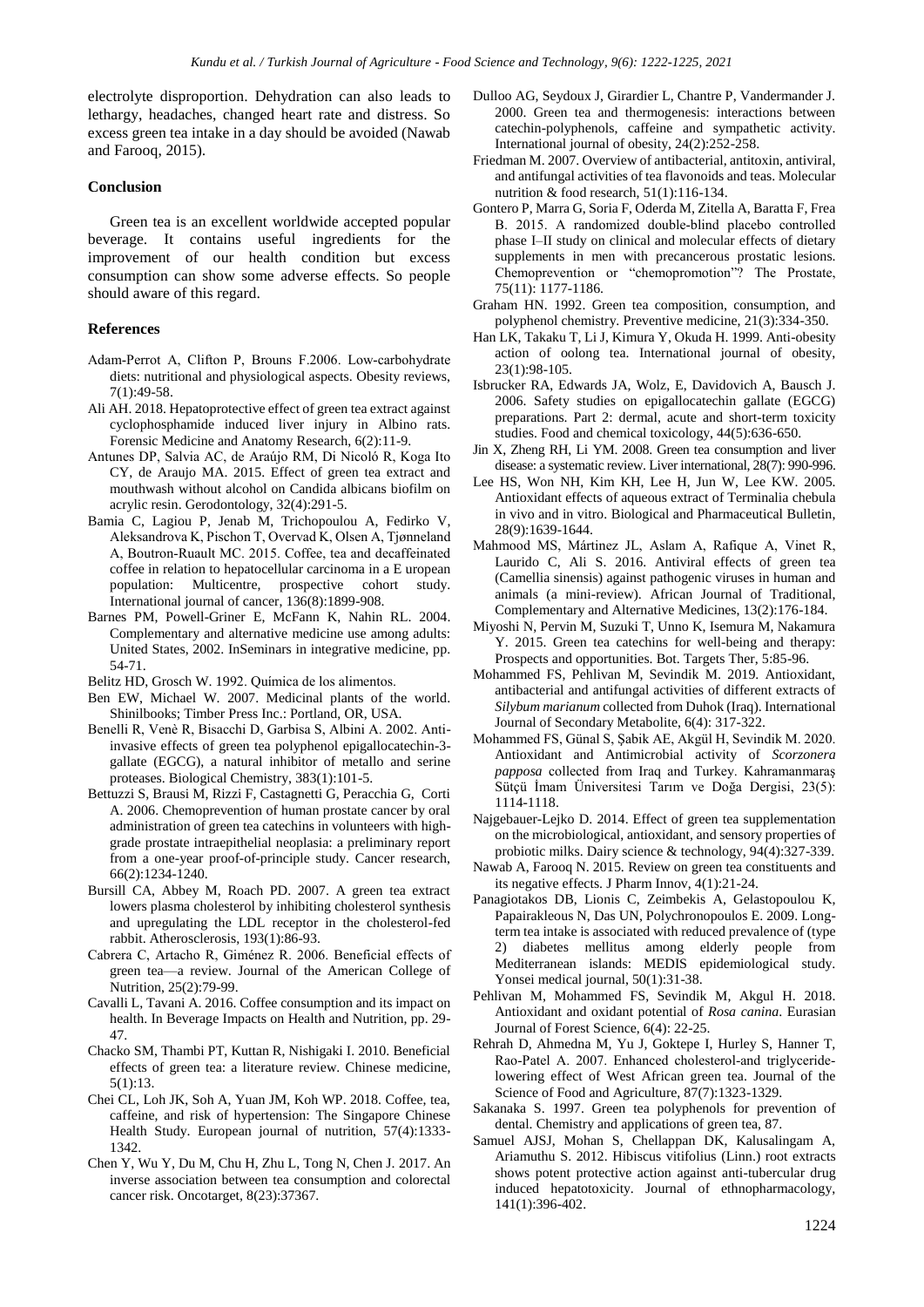electrolyte disproportion. Dehydration can also leads to lethargy, headaches, changed heart rate and distress. So excess green tea intake in a day should be avoided (Nawab and Farooq, 2015).

# **Conclusion**

Green tea is an excellent worldwide accepted popular beverage. It contains useful ingredients for the improvement of our health condition but excess consumption can show some adverse effects. So people should aware of this regard.

# **References**

- Adam‐Perrot A, Clifton P, Brouns F.2006. Low‐carbohydrate diets: nutritional and physiological aspects. Obesity reviews, 7(1):49-58.
- Ali AH. 2018. Hepatoprotective effect of green tea extract against cyclophosphamide induced liver injury in Albino rats. Forensic Medicine and Anatomy Research, 6(2):11-9.
- Antunes DP, Salvia AC, de Araújo RM, Di Nicoló R, Koga Ito CY, de Araujo MA. 2015. Effect of green tea extract and mouthwash without alcohol on Candida albicans biofilm on acrylic resin. Gerodontology, 32(4):291-5.
- Bamia C, Lagiou P, Jenab M, Trichopoulou A, Fedirko V, Aleksandrova K, Pischon T, Overvad K, Olsen A, Tjønneland A, Boutron‐Ruault MC. 2015. Coffee, tea and decaffeinated coffee in relation to hepatocellular carcinoma in a E uropean population: Multicentre, prospective cohort study. International journal of cancer, 136(8):1899-908.
- Barnes PM, Powell-Griner E, McFann K, Nahin RL. 2004. Complementary and alternative medicine use among adults: United States, 2002. InSeminars in integrative medicine, pp. 54-71.

Belitz HD, Grosch W. 1992. Química de los alimentos.

- Ben EW, Michael W. 2007. Medicinal plants of the world. Shinilbooks; Timber Press Inc.: Portland, OR, USA.
- Benelli R, Venè R, Bisacchi D, Garbisa S, Albini A. 2002. Antiinvasive effects of green tea polyphenol epigallocatechin-3 gallate (EGCG), a natural inhibitor of metallo and serine proteases. Biological Chemistry, 383(1):101-5.
- Bettuzzi S, Brausi M, Rizzi F, Castagnetti G, Peracchia G, Corti A. 2006. Chemoprevention of human prostate cancer by oral administration of green tea catechins in volunteers with highgrade prostate intraepithelial neoplasia: a preliminary report from a one-year proof-of-principle study. Cancer research, 66(2):1234-1240.
- Bursill CA, Abbey M, Roach PD. 2007. A green tea extract lowers plasma cholesterol by inhibiting cholesterol synthesis and upregulating the LDL receptor in the cholesterol-fed rabbit. Atherosclerosis, 193(1):86-93.
- Cabrera C, Artacho R, Giménez R. 2006. Beneficial effects of green tea—a review. Journal of the American College of Nutrition, 25(2):79-99.
- Cavalli L, Tavani A. 2016. Coffee consumption and its impact on health. In Beverage Impacts on Health and Nutrition, pp. 29- 47.
- Chacko SM, Thambi PT, Kuttan R, Nishigaki I. 2010. Beneficial effects of green tea: a literature review. Chinese medicine, 5(1):13.
- Chei CL, Loh JK, Soh A, Yuan JM, Koh WP. 2018. Coffee, tea, caffeine, and risk of hypertension: The Singapore Chinese Health Study. European journal of nutrition, 57(4):1333- 1342.
- Chen Y, Wu Y, Du M, Chu H, Zhu L, Tong N, Chen J. 2017. An inverse association between tea consumption and colorectal cancer risk. Oncotarget, 8(23):37367.
- Dulloo AG, Seydoux J, Girardier L, Chantre P, Vandermander J. 2000. Green tea and thermogenesis: interactions between catechin-polyphenols, caffeine and sympathetic activity. International journal of obesity, 24(2):252-258.
- Friedman M. 2007. Overview of antibacterial, antitoxin, antiviral, and antifungal activities of tea flavonoids and teas. Molecular nutrition & food research, 51(1):116-134.
- Gontero P, Marra G, Soria F, Oderda M, Zitella A, Baratta F, Frea B. 2015. A randomized double‐blind placebo controlled phase I–II study on clinical and molecular effects of dietary supplements in men with precancerous prostatic lesions. Chemoprevention or "chemopromotion"? The Prostate, 75(11): 1177-1186.
- Graham HN. 1992. Green tea composition, consumption, and polyphenol chemistry. Preventive medicine, 21(3):334-350.
- Han LK, Takaku T, Li J, Kimura Y, Okuda H. 1999. Anti-obesity action of oolong tea. International journal of obesity, 23(1):98-105.
- Isbrucker RA, Edwards JA, Wolz, E, Davidovich A, Bausch J. 2006. Safety studies on epigallocatechin gallate (EGCG) preparations. Part 2: dermal, acute and short-term toxicity studies. Food and chemical toxicology, 44(5):636-650.
- Jin X, Zheng RH, Li YM. 2008. Green tea consumption and liver disease: a systematic review. Liver international, 28(7): 990-996.
- Lee HS, Won NH, Kim KH, Lee H, Jun W, Lee KW. 2005. Antioxidant effects of aqueous extract of Terminalia chebula in vivo and in vitro. Biological and Pharmaceutical Bulletin, 28(9):1639-1644.
- Mahmood MS, Mártinez JL, Aslam A, Rafique A, Vinet R, Laurido C, Ali S. 2016. Antiviral effects of green tea (Camellia sinensis) against pathogenic viruses in human and animals (a mini-review). African Journal of Traditional, Complementary and Alternative Medicines, 13(2):176-184.
- Miyoshi N, Pervin M, Suzuki T, Unno K, Isemura M, Nakamura Y. 2015. Green tea catechins for well-being and therapy: Prospects and opportunities. Bot. Targets Ther, 5:85-96.
- Mohammed FS, Pehlivan M, Sevindik M. 2019. Antioxidant, antibacterial and antifungal activities of different extracts of *Silybum marianum* collected from Duhok (Iraq). International Journal of Secondary Metabolite, 6(4): 317-322.
- Mohammed FS, Günal S, Şabik AE, Akgül H, Sevindik M. 2020. Antioxidant and Antimicrobial activity of *Scorzonera papposa* collected from Iraq and Turkey. Kahramanmaraş Sütçü İmam Üniversitesi Tarım ve Doğa Dergisi, 23(5): 1114-1118.
- Najgebauer-Lejko D. 2014. Effect of green tea supplementation on the microbiological, antioxidant, and sensory properties of probiotic milks. Dairy science & technology, 94(4):327-339.
- Nawab A, Farooq N. 2015. Review on green tea constituents and its negative effects. J Pharm Innov, 4(1):21-24.
- Panagiotakos DB, Lionis C, Zeimbekis A, Gelastopoulou K, Papairakleous N, Das UN, Polychronopoulos E. 2009. Longterm tea intake is associated with reduced prevalence of (type 2) diabetes mellitus among elderly people from Mediterranean islands: MEDIS epidemiological study. Yonsei medical journal, 50(1):31-38.
- Pehlivan M, Mohammed FS, Sevindik M, Akgul H. 2018. Antioxidant and oxidant potential of *Rosa canina*. Eurasian Journal of Forest Science, 6(4): 22-25.
- Rehrah D, Ahmedna M, Yu J, Goktepe I, Hurley S, Hanner T, Rao‐Patel A. 2007. Enhanced cholesterol‐and triglyceride‐ lowering effect of West African green tea. Journal of the Science of Food and Agriculture, 87(7):1323-1329.
- Sakanaka S. 1997. Green tea polyphenols for prevention of dental. Chemistry and applications of green tea, 87.
- Samuel AJSJ, Mohan S, Chellappan DK, Kalusalingam A, Ariamuthu S. 2012. Hibiscus vitifolius (Linn.) root extracts shows potent protective action against anti-tubercular drug induced hepatotoxicity. Journal of ethnopharmacology, 141(1):396-402.